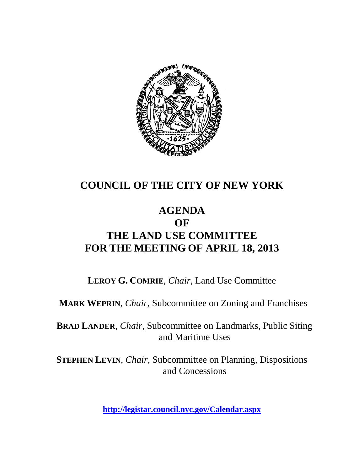

# **COUNCIL OF THE CITY OF NEW YORK**

# **AGENDA OF THE LAND USE COMMITTEE FOR THE MEETING OF APRIL 18, 2013**

**LEROY G. COMRIE**, *Chair*, Land Use Committee

**MARK WEPRIN**, *Chair*, Subcommittee on Zoning and Franchises

**BRAD LANDER**, *Chair*, Subcommittee on Landmarks, Public Siting and Maritime Uses

**STEPHEN LEVIN**, *Chair,* Subcommittee on Planning, Dispositions and Concessions

**<http://legistar.council.nyc.gov/Calendar.aspx>**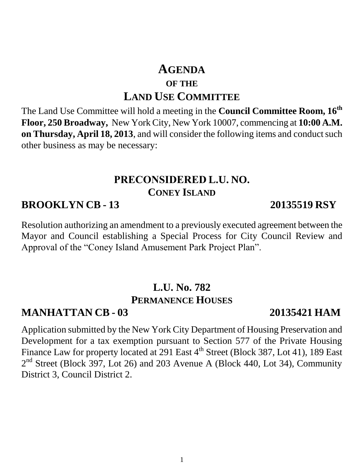# **AGENDA OF THE LAND USE COMMITTEE**

The Land Use Committee will hold a meeting in the **Council Committee Room, 16th Floor, 250 Broadway,** New York City, New York 10007, commencing at **10:00 A.M. on Thursday, April 18, 2013**, and will consider the following items and conduct such other business as may be necessary:

### **PRECONSIDERED L.U. NO. CONEY ISLAND**

# **BROOKLYN CB - 13 20135519 RSY**

Resolution authorizing an amendment to a previously executed agreement between the Mayor and Council establishing a Special Process for City Council Review and Approval of the "Coney Island Amusement Park Project Plan".

# **L.U. No. 782 PERMANENCE HOUSES**

# **MANHATTAN CB - 03 20135421 HAM**

Application submitted by the New York City Department of Housing Preservation and Development for a tax exemption pursuant to Section 577 of the Private Housing Finance Law for property located at 291 East 4<sup>th</sup> Street (Block 387, Lot 41), 189 East 2<sup>nd</sup> Street (Block 397, Lot 26) and 203 Avenue A (Block 440, Lot 34), Community District 3, Council District 2.